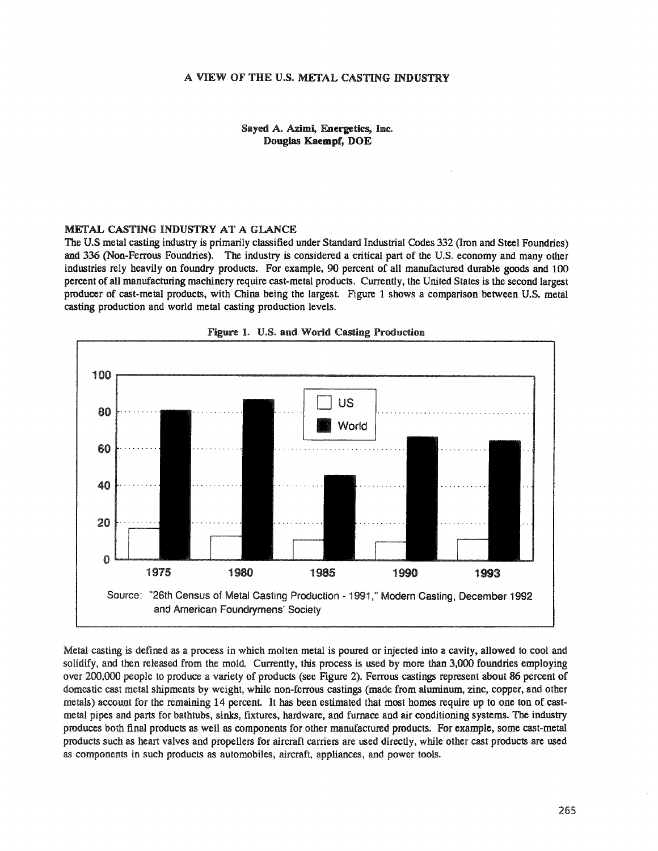### Sayed A. Azimi, Energetics, Inc. Douglas Kaempf, DOE

### METAL CASTING INDUSTRY AT A GlANCE

The U.S metal casting industry is primarily classified under Standard Industrial Codes 332 (Iron and Steel Foundries) and 336 (Non-Ferrous Foundries). The industry is considered a critical part of the U.S. economy and many other industries rely heavily on foundry products. For example, 90 percent of all manufactured durable goods and 100 percent of all manufacturing machinery require cast-metal products. Currently, the United States is the second largest producer of cast-metal products, with China being the largest. Figure 1 shows a comparison between U.S. metal casting production and world metal casting production levels..





Metal casting is defined as a process in which molten metal is poured or injected into a cavity, allowed to cool and solidify, and then released from the mold. Currently, this process is used by more than 3,000 foundries employing over 200,000 people to produce a variety of products (see Figure 2). Ferrous castings represent about 86 percent of domestic cast metal shipments by weight, while non-ferrous castings (made from aluminum, zinc, copper, and other metals) account for the remaining 14 percent. It has been estimated that most homes require up to one ton of castmetal pipes and parts for bathtubs, sinks, fixtures, hardware, and furnace and air conditioning systems. The industry produces both final products as well as components for other manufactured products.. For example, some cast-metal products such as heart valves and propellers for aircraft carriers are used directly, while other cast products are used as components in such products as automobiles, aircraft, appliances, and power tools..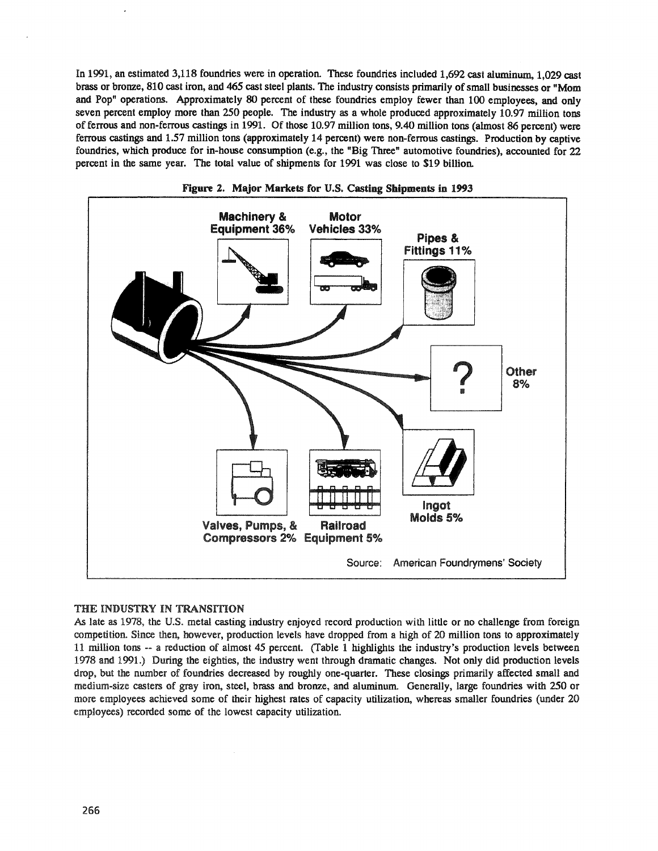In 1991, an estimated 3,118 foundries were in operation. These foundries included 1,692 cast aluminum, 1,029 cast brass or bronze, 810 cast iron, and 465 cast steel plants. The industry consists primarily of small businesses or "Mom and Pop" operations. Approximately 80 percent of these foundries employ fewer than 100 employees, and only seven percent employ more than 250 people. The industry as a whole produced approximately 10.97 million tons of ferrous and non-ferrous castings in 1991. Of those 10.97 million tons, 9.40 million tons (almost 86 percent) were ferrous castings and 1.57 million tons (approximately 14 percent) were non-ferrous castings. Production by captive foundries, which produce for in-house consumption (e.g., the "Big Three" automotive foundries), accounted for 22 percent in the same year. The total value of shipments for 1991 was close to \$19 billion.





## THE INDUSTRY IN TRANSITION

As late as 1978, the U.S. metal casting industry enjoyed record production with little or no challenge from foreign competition. Since then, however, production levels have dropped from a high of 20 million tons to approximately 11 million tons -- a reduction of almost 45 percent. (Table 1 highlights the industry's production levels between 1978 and 1991.) During the eighties, the industry went through dramatic changes. Not only did production levels drop, but the number of foundries decreased by roughly one-quarter. These closings primarily affected small and medium-size casters of gray iron, steel, brass and bronze, and aluminum.. Generally, large foundries with 250 or more employees achieved some of their highest rates of capacity utilization, whereas smaller foundries (under 20 employees) recorded some of the lowest capacity utilization.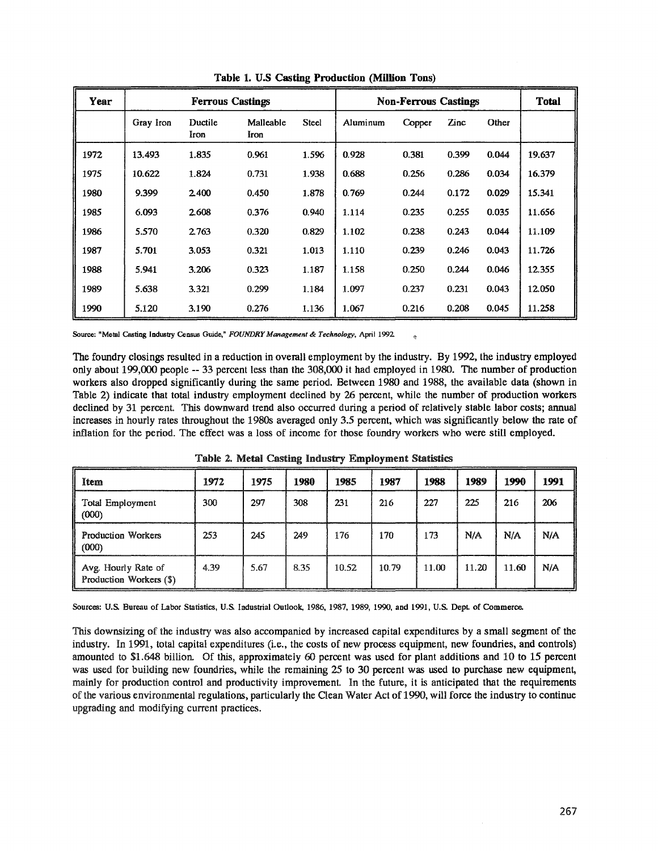| Year | <b>Ferrous Castings</b> |                 |                   | <b>Non-Ferrous Castings</b> |          |        |       | <b>Total</b> |        |
|------|-------------------------|-----------------|-------------------|-----------------------------|----------|--------|-------|--------------|--------|
|      | Gray Iron               | Ductile<br>Iron | Malleable<br>Iron | <b>Steel</b>                | Aluminum | Copper | Zinc  | Other        |        |
| 1972 | 13.493                  | 1.835           | 0.961             | 1.596                       | 0.928    | 0.381  | 0.399 | 0.044        | 19.637 |
| 1975 | 10.622                  | 1.824           | 0.731             | 1.938                       | 0.688    | 0.256  | 0.286 | 0.034        | 16.379 |
| 1980 | 9.399                   | 2.400           | 0.450             | 1.878                       | 0.769    | 0.244  | 0.172 | 0.029        | 15.341 |
| 1985 | 6.093                   | 2.608           | 0.376             | 0.940                       | 1.114    | 0.235  | 0.255 | 0.035        | 11.656 |
| 1986 | 5.570                   | 2.763           | 0.320             | 0.829                       | 1.102    | 0.238  | 0.243 | 0.044        | 11.109 |
| 1987 | 5.701                   | 3.053           | 0.321             | 1.013                       | 1.110    | 0.239  | 0.246 | 0.043        | 11.726 |
| 1988 | 5.941                   | 3.206           | 0.323             | 1.187                       | 1.158    | 0.250  | 0.244 | 0.046        | 12.355 |
| 1989 | 5.638                   | 3.321           | 0.299             | 1.184                       | 1.097    | 0.237  | 0.231 | 0.043        | 12.050 |
| 1990 | 5.120                   | 3.190           | 0.276             | 1.136                       | 1.067    | 0.216  | 0.208 | 0.045        | 11.258 |

Table 1. U.S Casting Production (Million Tons)

Source: "Metal Casting Industry Census Guide," *FOUNDRY Management* & *Technology,* April 1992

The foundry closings resulted in a reduction in overall employment by the industry. By 1992, the industry employed only about 199,000 people -- 33 percent less than the 308,000 it had employed in 1980. The number of production workers also dropped significantly during the same period. Between 1980 and 1988, the available data (shown in Table 2) indicate that total industry employment declined by 26 percent, while the number of production workers declined by 31 percent. This downward trend also occurred during a period of relatively stable labor costs; annual increases in hourly rates throughout the 19808 averaged only 3.5 percent, which was significantly below the rate of inflation for the period. The effect was a loss of income for those foundry workers who were still employed.

| Item                                           | 1972 | 1975 | 1980 | 1985  | 1987  | 1988  | 1989  | 1990  | 1991 |
|------------------------------------------------|------|------|------|-------|-------|-------|-------|-------|------|
| Total Employment<br>(000)                      | 300  | 297  | 308  | 231   | 216   | 227   | 225   | 216   | 206  |
| Production Workers<br>(000)                    | 253  | 245  | 249  | 176   | 170   | 173   | N/A   | N/A   | N/A  |
| Avg. Hourly Rate of<br>Production Workers (\$) | 4.39 | 5.67 | 8.35 | 10.52 | 10.79 | 11.00 | 11.20 | 11.60 | N/A  |

Table 2& Metal Casting Industry Employment Statistics

Sources: U.S. Bureau of Labor Statistics, U.S. Industrial Outlook, 1986, 1987, 1989, 1990, and 1991, U.S. Dept. of Commerce.

This downsizing of the industry was also accompanied by increased capital expenditures by a small segment of the industry.. In 1991, total capital expenditures (Le., the costs of new process equipment, new foundries, and controls) amounted to \$1.648 billion. Of this, approximately 60 percent was used for plant additions and 10 to 15 percent was used for building new foundries, while the remaining 25 to 30 percent was used to purchase new equipment, mainly for production control and productivity improvement. In the future, it is anticipated that the requirements ofthe various environmental regulations, particularly the Clean Water Act of 1990, will force the industry to continue upgrading and modifying current practices.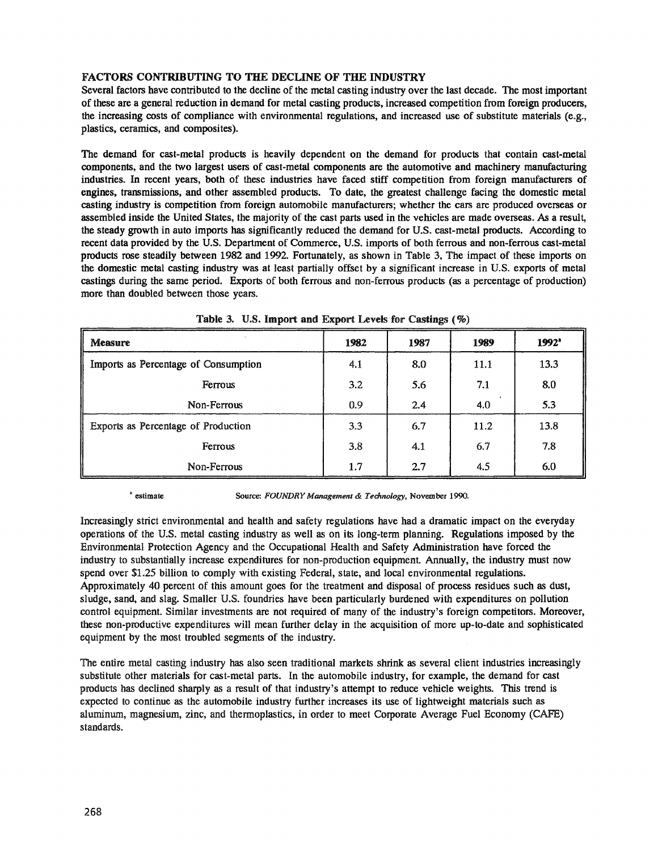# FACTORS CONTRIBUTING TO THE DECLINE OF THE INDUSTRY

Several factors have contributed to the decline of the metal casting industry over the last decade. The most important of these are a general reduction in demand for metal casting products, increased competition from foreign producers, the increasing costs of compliance with environmental regulations, and increased use of substitute materials (e.g., plastics, ceramics, and composites).

The demand for cast-metal products is heavily dependent on the demand for products that contain cast-metal components, and the two largest users of cast-metal components are the automotive and machinery manufacturing industries. In recent years, both of these industries have faced stiff competition from foreign manufacturers of engines, transmissions, and other assembled products. To date, the greatest challenge facing the domestic metal casting industry is competition from foreign automobile manufacturers; whether the cars are produced overseas or assembled inside the United States, the majority of the cast parts used in the vehicles are made overseas. As a result, the steady growth in auto imports has significantly reduced the demand for U.S. cast-metal products. According to recent data provided by the U.S. Department of Commerce, U.S. imports of both ferrous and non-ferrous cast-metal products rose steadily between 1982 and 1992. Fortunately, as shown in Table 3, The impact of these imports on the domestic metal casting industry was at least partially offset by a significant increase in U.S. exports of metal castings during the same period. Exports of both ferrous and non-ferrous products (as a percentage of production) more than doubled between those years.

| ×.<br><b>Measure</b>                 | 1982 | 1987 | 1989 | $1992^*$ |
|--------------------------------------|------|------|------|----------|
| Imports as Percentage of Consumption | 4.1  | 8.0  | 11.1 | 13.3     |
| Ferrous                              | 3.2  | 5.6  | 7.1  | 8.0      |
| Non-Ferrous                          | 0.9  | 2.4  | 4.0  | 5.3      |
| Exports as Percentage of Production  | 3.3  | 6.7  | 11.2 | 13.8     |
| Ferrous                              | 3.8  | 4.1  | 6.7  | 7.8      |
| Non-Ferrous                          | 1.7  | 2.7  | 4.5  | 6.0      |

Table 3. U.S. Import and Export Levels for Castings  $(\%)$ 

<sup>a</sup> estimate Source: *FOUNDRY Management* & *Technology*, November 1990.

Increasingly strict environmental and health and safety regulations have had a dramatic impact on the everyday operations of the U.S. metal casting industry as well as on its long-term planning. Regulations imposed by the Environmental Protection Agency and the Occupational Health and Safety Administration have forced the industry to substantially increase expenditures for non-production equipment Annually, the industry must now spend over \$1.25 billion to comply with existing Federal, state, and local environmental regulations. Approximately 40 percent of this amount goes for the treatment and disposal of process residues such as dust, Sludge, sand, and slag. Smaller U.S. foundries have been particularly burdened with expenditures on pollution control equipment. Similar investments are not required of many of the industry's foreign competitors. Moreover, these non-productive expenditures will mean further delay in the acquisition of more up-to-date and sophisticated equipment by the most troubled segments of the industry.

The entire metal casting industry has also seen traditional markets shrink as several client industries increasingly substitute other materials for cast-metal parts. In the automobile industry, for example, the demand for cast products has declined sharply as a result of that industry's attempt to reduce vehicle weights. This trend is expected to continue as the automobile industry further increases its use of lightweight materials such as aluminum, magnesium, zinc, and thermoplastics, in order to meet Corporate Average Fuel Economy (CAFE) standards.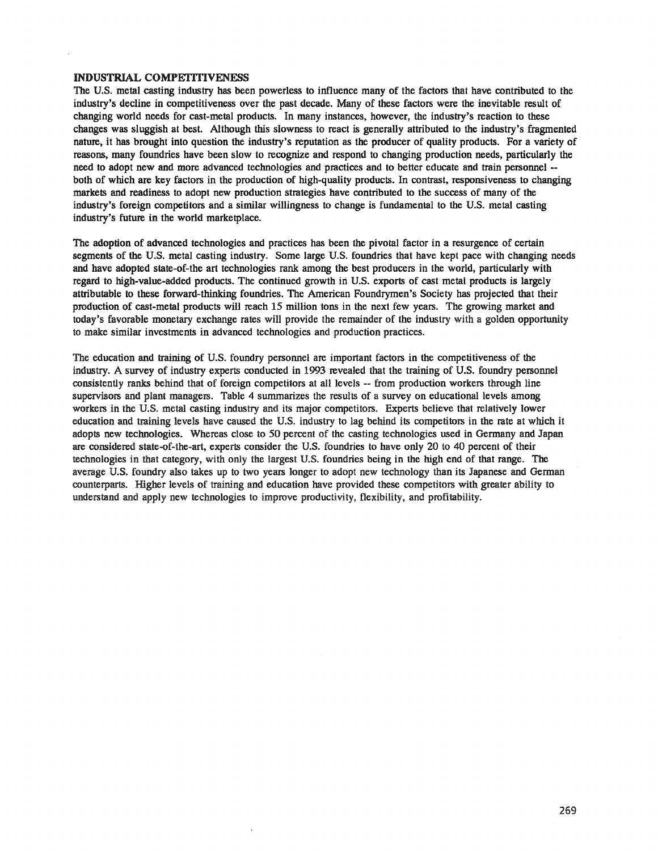### INDUSTRIAL COMPETITIVENESS

The U.S. metal casting industry has been powerless to influence many of the factors that have contributed to the industry's decline in competitiveness over the past decade. Many of these factors were the inevitable result of changing world needs for cast-metal products. In many instances, however, the industry's reaction to these changes was sluggish at best. Although this slowness to react is generally attributed to the industry's fragmented nature, it has brought into question the industry's reputation as the producer of quality products. For a variety of reasons, many foundries have been slow to recognize and respond to changing production needs, particularly the need to adopt new and more advanced technologies and practices and to better educate and train personnel - both of which are key factors in the production of high-quality products. In contrast, responsiveness to changing markets and readiness to adopt new production strategies have contributed to the success of many of the industry's foreign competitors and a similar willingness to change is fundamental to the U.S. metal casting industry's future in the world marketplace.

The adoption of advanced technologies and practices has been the pivotal factor in a resurgence of certain segments of the U.S. metal casting industry. Some large U.S. foundries that have kept pace with changing needs and have adopted state-of-the art technologies rank among the best producers in the world, particularly with regard to high-value-added products. The continued growth in U.S. exports of cast metal products is largely attributable to these forward-thinking foundries. The American Foundrymen's Society has projected that their production of cast-metal products will reach 15 million tons in the next few years. The growing market and today's favorable monetary exchange rates will provide the remainder of the industry with a golden opportunity to make similar investments in advanced technologies and production practices.

The education and training of U..S. foundry personnel are important factors in the competitiveness of the industry. A survey of industry experts conducted in 1993 revealed that the training of U.S. foundry personnel consistently ranks behind that of foreign competitors at all levels -- from production workers through line supervisors and plant managers. Table 4 summarizes the results of a survey on educational levels among workers in the U.S. metal casting industry and its major competitors. Experts believe that relatively lower education and training levels have caused the U.S. industry to lag behind its competitors in the rate at which it adopts new technologies. Whereas close to 50 percent of the casting technologies used in Germany and Japan are considered state-of-the-art, experts consider the U.S. foundries to have only 20 to 40 percent of their technologies in that category, with only the largest U.S. foundries being in the high end of that range. The average U.S. foundry also takes up to two years longer to adopt new technology than its Japanese and German counterparts. Higher levels of training and education have provided these competitors with greater ability to understand and apply new technologies to improve productivity, flexibility, and profitability.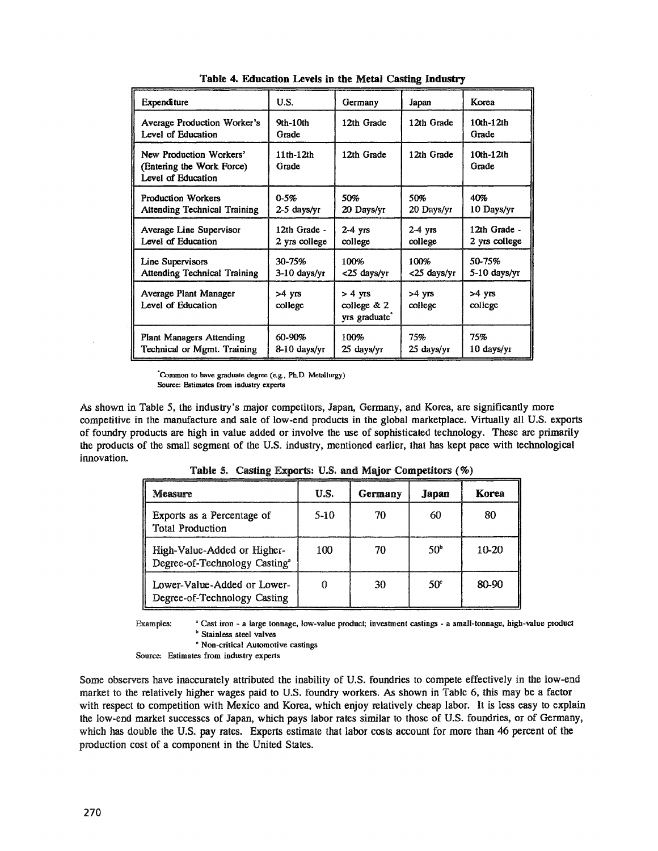| <b>Expenditure</b>                                                         | U.S.                          | Germany                                                 | Japan                | Korea                         |
|----------------------------------------------------------------------------|-------------------------------|---------------------------------------------------------|----------------------|-------------------------------|
| Average Production Worker's<br>Level of Education                          | 9th-10th<br>Grade             | 12th Grade                                              | 12th Grade           | 10th-12th<br>Grade            |
| New Production Workers'<br>(Entering the Work Force)<br>Level of Education | $11th-12th$<br>Grade          | 12th Grade                                              | 12th Grade           | $10th-12th$<br>Grade          |
| <b>Production Workers</b><br><b>Attending Technical Training</b>           | $0 - 5%$<br>$2-5$ days/yr     | 50%<br>20 Days/yr                                       | 50%<br>20 Days/yr    | 40%<br>10 Days/yr             |
| Average Line Supervisor<br>Level of Education                              | 12th Grade -<br>2 yrs college | $2-4$ yrs<br>college                                    | $2-4$ yrs<br>college | 12th Grade -<br>2 yrs college |
| Line Supervisors<br><b>Attending Technical Training</b>                    | 30-75%<br>3-10 days/yr        | 100%<br><25 days/vr                                     | 100%<br><25 days/yr  | 50-75%<br>5-10 days/yr        |
| Average Plant Manager<br>Level of Education                                | >4 yrs<br>college             | $> 4$ vrs<br>college $& 2$<br>yrs graduate <sup>*</sup> | $>4$ yrs<br>college  | >4 yrs<br>college             |
| <b>Plant Managers Attending</b><br>Technical or Mgmt. Training             | 60-90%<br>8-10 days/yr        | 100%<br>25 days/yr                                      | 75%<br>25 days/yr    | 75%<br>10 days/yr             |

Table 4. Education Levels in the Metal Casting Industry

"Common to have graduate degree (e.g., Ph.D. Metallurgy) Source: Estimates from industry experts

As shown in Table 5, the industry's major competitors, Japan, Germany, and Korea, are significantly more competitive in the manufacture and sale of low-end products in the global marketplace. Virtually all U.S.. exports of foundry products are high in value added or involve the use of sophisticated technology. These are primarily the products of the small segment of the U.S. industry, mentioned earlier, that has kept pace with technological innovation..

| Measure                                                                  | U.S.            | Germany | Japan           | Korea |
|--------------------------------------------------------------------------|-----------------|---------|-----------------|-------|
| Exports as a Percentage of<br><b>Total Production</b>                    | $5-10$          | 70      | 60              | 80    |
| High-Value-Added or Higher-<br>Degree-of-Technology Casting <sup>a</sup> | 1 <sub>00</sub> | 70      | 50 <sup>b</sup> | 10-20 |
| I ower-Value-Added or Lower-<br>Degree-of-Technology Casting             |                 | 30      | 50°             | 80-90 |

Table 5. Casting Exports: U.S. and Major Competitors  $(\%)$ 

Examples: <sup>a</sup> Cast iron - a large tonnage, low-value product; investment castings - a small-tonnage, high-value product **b** Stainless steel valves

Non-critical Automotive castings

Source: Estimates from industry experts

Some observers have inaccurately attributed the inability of U.S. foundries to compete effectively in the low-end market to the relatively higher wages paid to U.S. foundry workers. As shown in Table 6, this may be a factor with respect to competition with Mexico and Korea, which enjoy relatively cheap labor. It is less easy to explain the low-end market successes of Japan, which pays labor rates similar to those of U.S. foundries, or of Germany, which has double the U.S. pay rates. Experts estimate that labor costs account for more than 46 percent of the production cost of a component in the United States.